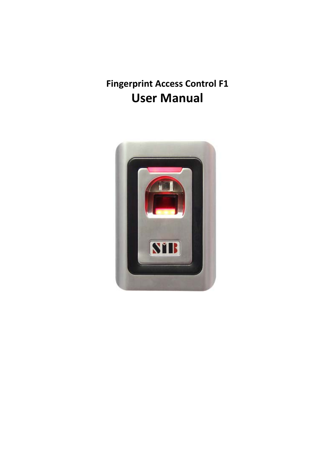# **Fingerprint Access Control F1 User Manual**

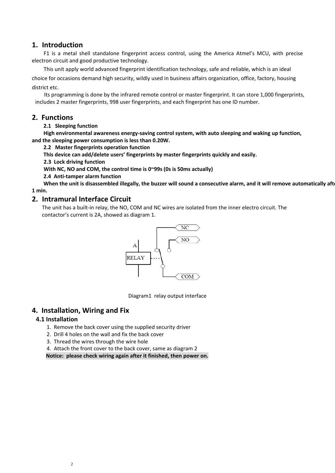#### **1. Introduction**

F1 is a metal shell standalone fingerprint access control, using the America Atmel's MCU, with precise electron circuit and good productive technology.

This unit apply world advanced fingerprint identification technology, safe and reliable, which is an ideal choice for occasions demand high security, wildly used in business affairs organization, office, factory, housing district etc.

Its programming is done by the infrared remote control or master fingerprint. It can store 1,000 fingerprints, includes 2 master fingerprints, 998 user fingerprints, and each fingerprint has one ID number.

#### **2. Functions**

#### **2.1 Sleeping function**

**High environmental awareness energy‐saving control system, with auto sleeping and waking up function, and the sleeping power consumption is less than 0.20W.**

#### **2.2 Master fingerprints operation function**

**This device can add/delete users' fingerprints by master fingerprints quickly and easily.**

**2.3 Lock driving function**

**With NC, NO and COM, the control time is 0~99s (0s is 50ms actually)**

**2.4 Anti‐tamper alarm function**

When the unit is disassembled illegally, the buzzer will sound a consecutive alarm, and it will remove automatically aft **1 min.**

#### **2. Intramural Interface Circuit**

The unit has a built‐in relay, the NO, COM and NC wires are isolated from the inner electro circuit. The contactor's current is 2A, showed as diagram 1.



Diagram1 relay output interface

#### **4. Installation, Wiring and Fix**

#### **4.1 Installation**

- 1. Remove the back cover using the supplied security driver
- 2. Drill 4 holes on the wall and fix the back cover
- 3. Thread the wires through the wire hole
- 4. Attach the front cover to the back cover, same as diagram 2

**Notice: please check wiring again after it finished, then power on.**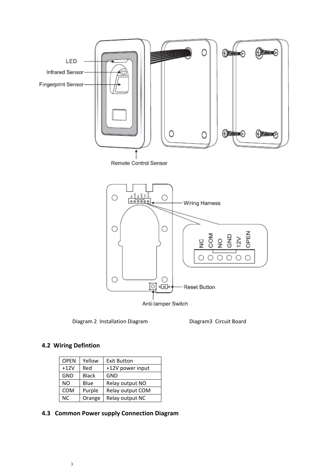

Diagram 2 Installation Diagram Diagram3 Circuit Board

## **4.2 Wiring Defintion**

| <b>OPEN</b> | Yellow       | <b>Exit Button</b> |  |
|-------------|--------------|--------------------|--|
| $+12V$      | Red          | +12V power input   |  |
| <b>GND</b>  | <b>Black</b> | <b>GND</b>         |  |
| <b>NO</b>   | Blue         | Relay output NO    |  |
| <b>COM</b>  | Purple       | Relay output COM   |  |
| <b>NC</b>   | Orange       | Relay output NC    |  |

## **4.3 Common Power supply Connection Diagram**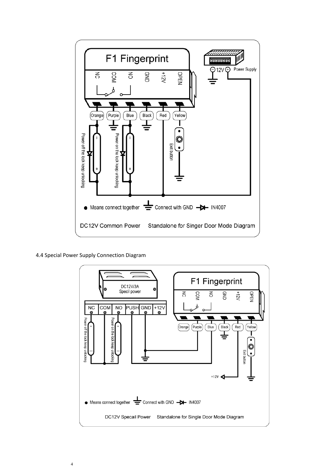

4.4 Special Power Supply Connection Diagram

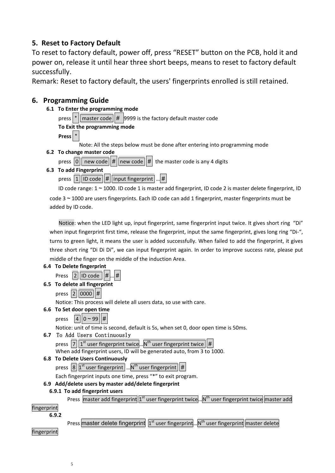## **5. Reset to Factory Default**

To reset to factory default, power off, press "RESET" button on the PCB, hold it and power on, release it until hear three short beeps, means to reset to factory default successfully.

Remark: Reset to factory default, the users' fingerprints enrolled is still retained.

## **6. Programming Guide**

- **6.1 To Enter the programming mode**
	- press  $*$  | master code  $#$  9999 is the factory default master code
	- **To Exit the programming mode**

**Press** \*

- Note: All the steps below must be done after entering into programming mode
- **6.2 To change master code**
	- press  $\|0\|$  new code  $\|\#$  new code  $\|\#$  the master code is any 4 digits
- **6.3 To add Fingerprint**
	- press  $|1||$  ID code  $||#||$  input fingerprint  $||...||#$

ID code range: 1 ~ 1000. ID code 1 is master add fingerprint, ID code 2 is master delete fingerprint, ID

 $code 3~1000$  are users fingerprints. Each ID code can add 1 fingerprint, master fingerprints must be added by ID code.

Notice: when the LED light up, input fingerprint, same fingerprint input twice. It gives short ring "Di" when input fingerprint first time, release the fingerprint, input the same fingerprint, gives long ring "Di-", turns to green light, it means the user is added successfully. When failed to add the fingerprint, it gives three short ring "Di Di Di", we can input fingerprint again. In order to improve success rate, please put middle of the finger on the middle of the induction Area.

## **6.4 To Delete fingerprint**

|  |  | Press $\boxed{2}$ ID code $\boxed{##}$ |  |  |  |
|--|--|----------------------------------------|--|--|--|
|--|--|----------------------------------------|--|--|--|

## **6.5 To delete all fingerprint**

press  $|2||0000||#$ Notice: This process will delete all users data, so use with care.

## **6.6 To Set door open time**

press  $|4||0 \sim 99$ 

Notice: unit of time is second, default is 5s, when set 0, door open time is 50ms.

#### **6.7** To Add Users Continuously

press  $\overline{7}$   $\overline{1}$ <sup>st</sup> user fingerprint twice... $N^{th}$  user fingerprint twice When add fingerprint users, ID will be generated auto, from 3 to 1000.

## **6.8 To Delete Users Continuously**

press  $|8|1^{st}$  user fingerprint  $\ldots$ N<sup>th</sup> user fingerprint  $||#$ 

Each fingerprint inputs one time, press "\*" to exit program.

## **6.9 Add/delete users by master add/delete fingerprint**

#### **6.9.1 To add fingerprint users**

Press master add fingerprint 1<sup>st</sup> user fingerprint twice... N<sup>th</sup> user fingerprint twice master add

## fingerprint

**6.9.2** 

Press master delete fingerprint  $1s<sup>st</sup>$  user fingerprint... N<sup>th</sup> user fingerprint master delete

fingerprint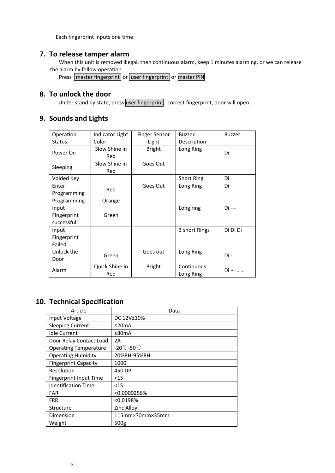Each fingerprint inputs one time

## **7. To release tamper alarm**

When this unit is removed illegal, then continuous alarm, keep 1 minutes alarming, or we can release the alarm by follow operation.

Press **master fingerprint** or user fingerprint or master PIN

## **8. To unlock the door**

Under stand by state, press user fingerprint, correct fingerprint, door will open

## **9. Sounds and Lights**

| Operation     | Indicator Light | <b>Finger Sensor</b> | <b>Buzzer</b>     | <b>Buzzer</b> |
|---------------|-----------------|----------------------|-------------------|---------------|
| <b>Status</b> | Color           | Light                | Description       |               |
| Power On      | Slow Shine in   | <b>Bright</b>        | Long Ring         | Di -          |
|               | Red             |                      |                   |               |
| Sleeping      | Slow Shine in   | Goes Out             |                   |               |
|               | Red             |                      |                   |               |
| Voided Key    |                 |                      | <b>Short Ring</b> | Di            |
| Enter         | Red             | Goes Out             | Long Ring         | Di -          |
| Programming   |                 |                      |                   |               |
| Programming   | Orange          |                      |                   |               |
| Input         |                 |                      | Long ring         | Di ---        |
| Fingerprint   | Green           |                      |                   |               |
| successful    |                 |                      |                   |               |
| Input         |                 |                      | 3 short Rings     | Di Di Di      |
| Fingerprint   |                 |                      |                   |               |
| Failed        |                 |                      |                   |               |
| Unlock the    |                 | Goes out             | Long Ring         | Di -          |
| Door          | Green           |                      |                   |               |
| Alarm         | Quick Shine in  | <b>Bright</b>        | Continuous        |               |
|               | Red             |                      | Long Ring         | $Di -$        |

## **10. Technical Specification**

| Article                       | Data                            |
|-------------------------------|---------------------------------|
| Input Voltage                 | DC 12V±10%                      |
| <b>Sleeping Current</b>       | ≤20mA                           |
| <b>Idle Current</b>           | ≤80mA                           |
| Door Relay Contact Load       | 2A                              |
| <b>Operating Temperature</b>  | $-20^{\circ}$ C-50 $^{\circ}$ C |
| <b>Operating Humidity</b>     | 20%RH-95%RH                     |
| <b>Fingerprint Capacity</b>   | 1000                            |
| Resolution                    | 450 DPI                         |
| <b>Fingerprint Input Time</b> | $<$ 15                          |
| <b>Identification Time</b>    | $<$ 15                          |
| <b>FAR</b>                    | < 0.0000256%                    |
| <b>FRR</b>                    | < 0.0198%                       |
| Structure                     | Zinc Alloy                      |
| Dimension                     | 115mm×70mm×35mm                 |
| Weight                        | 500g                            |